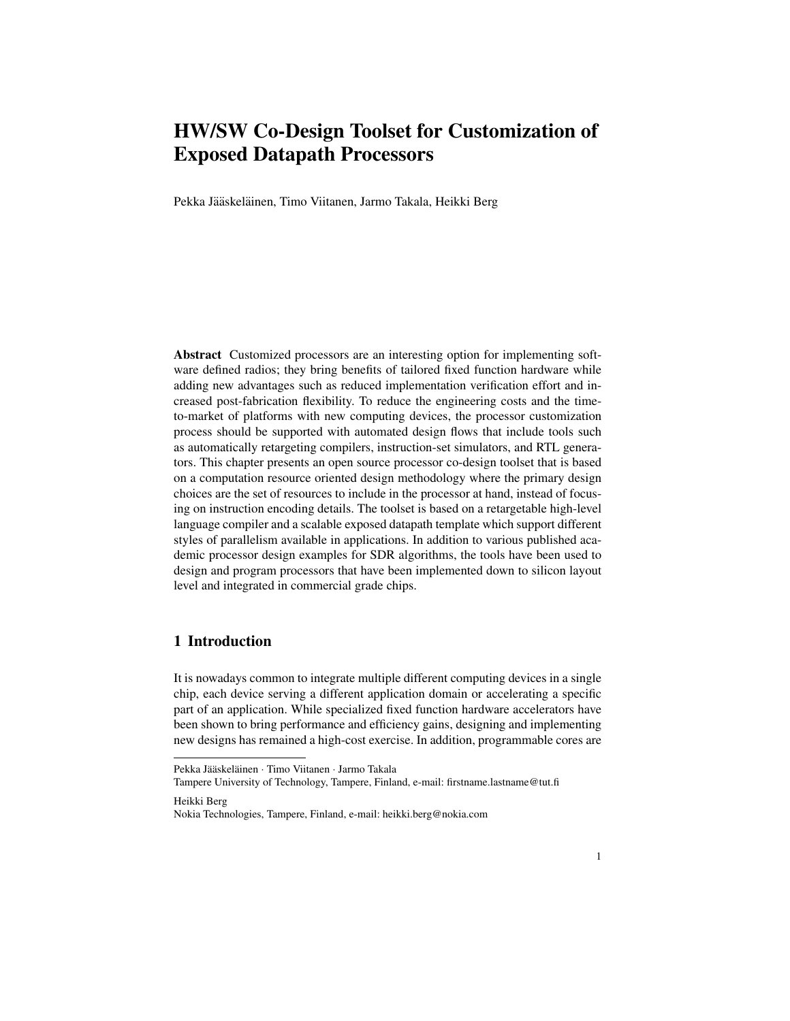# HW/SW Co-Design Toolset for Customization of Exposed Datapath Processors

Pekka Jääskeläinen, Timo Viitanen, Jarmo Takala, Heikki Berg

Abstract Customized processors are an interesting option for implementing software defined radios; they bring benefits of tailored fixed function hardware while adding new advantages such as reduced implementation verification effort and increased post-fabrication flexibility. To reduce the engineering costs and the timeto-market of platforms with new computing devices, the processor customization process should be supported with automated design flows that include tools such as automatically retargeting compilers, instruction-set simulators, and RTL generators. This chapter presents an open source processor co-design toolset that is based on a computation resource oriented design methodology where the primary design choices are the set of resources to include in the processor at hand, instead of focusing on instruction encoding details. The toolset is based on a retargetable high-level language compiler and a scalable exposed datapath template which support different styles of parallelism available in applications. In addition to various published academic processor design examples for SDR algorithms, the tools have been used to design and program processors that have been implemented down to silicon layout level and integrated in commercial grade chips.

# 1 Introduction

It is nowadays common to integrate multiple different computing devices in a single chip, each device serving a different application domain or accelerating a specific part of an application. While specialized fixed function hardware accelerators have been shown to bring performance and efficiency gains, designing and implementing new designs has remained a high-cost exercise. In addition, programmable cores are

Heikki Berg

Pekka Jääskeläinen · Timo Viitanen · Jarmo Takala

Tampere University of Technology, Tampere, Finland, e-mail: firstname.lastname@tut.fi

Nokia Technologies, Tampere, Finland, e-mail: heikki.berg@nokia.com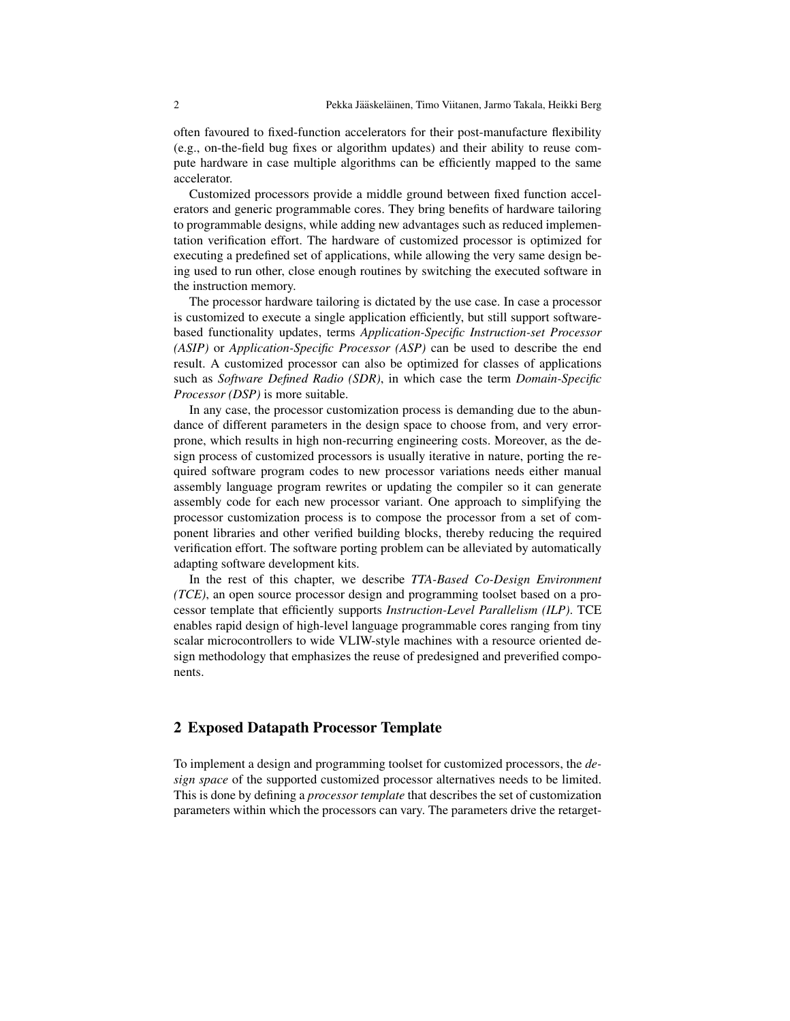often favoured to fixed-function accelerators for their post-manufacture flexibility (e.g., on-the-field bug fixes or algorithm updates) and their ability to reuse compute hardware in case multiple algorithms can be efficiently mapped to the same accelerator.

Customized processors provide a middle ground between fixed function accelerators and generic programmable cores. They bring benefits of hardware tailoring to programmable designs, while adding new advantages such as reduced implementation verification effort. The hardware of customized processor is optimized for executing a predefined set of applications, while allowing the very same design being used to run other, close enough routines by switching the executed software in the instruction memory.

The processor hardware tailoring is dictated by the use case. In case a processor is customized to execute a single application efficiently, but still support softwarebased functionality updates, terms *Application-Specific Instruction-set Processor (ASIP)* or *Application-Specific Processor (ASP)* can be used to describe the end result. A customized processor can also be optimized for classes of applications such as *Software Defined Radio (SDR)*, in which case the term *Domain-Specific Processor (DSP)* is more suitable.

In any case, the processor customization process is demanding due to the abundance of different parameters in the design space to choose from, and very errorprone, which results in high non-recurring engineering costs. Moreover, as the design process of customized processors is usually iterative in nature, porting the required software program codes to new processor variations needs either manual assembly language program rewrites or updating the compiler so it can generate assembly code for each new processor variant. One approach to simplifying the processor customization process is to compose the processor from a set of component libraries and other verified building blocks, thereby reducing the required verification effort. The software porting problem can be alleviated by automatically adapting software development kits.

In the rest of this chapter, we describe *TTA-Based Co-Design Environment (TCE)*, an open source processor design and programming toolset based on a processor template that efficiently supports *Instruction-Level Parallelism (ILP)*. TCE enables rapid design of high-level language programmable cores ranging from tiny scalar microcontrollers to wide VLIW-style machines with a resource oriented design methodology that emphasizes the reuse of predesigned and preverified components.

### 2 Exposed Datapath Processor Template

To implement a design and programming toolset for customized processors, the *design space* of the supported customized processor alternatives needs to be limited. This is done by defining a *processor template* that describes the set of customization parameters within which the processors can vary. The parameters drive the retarget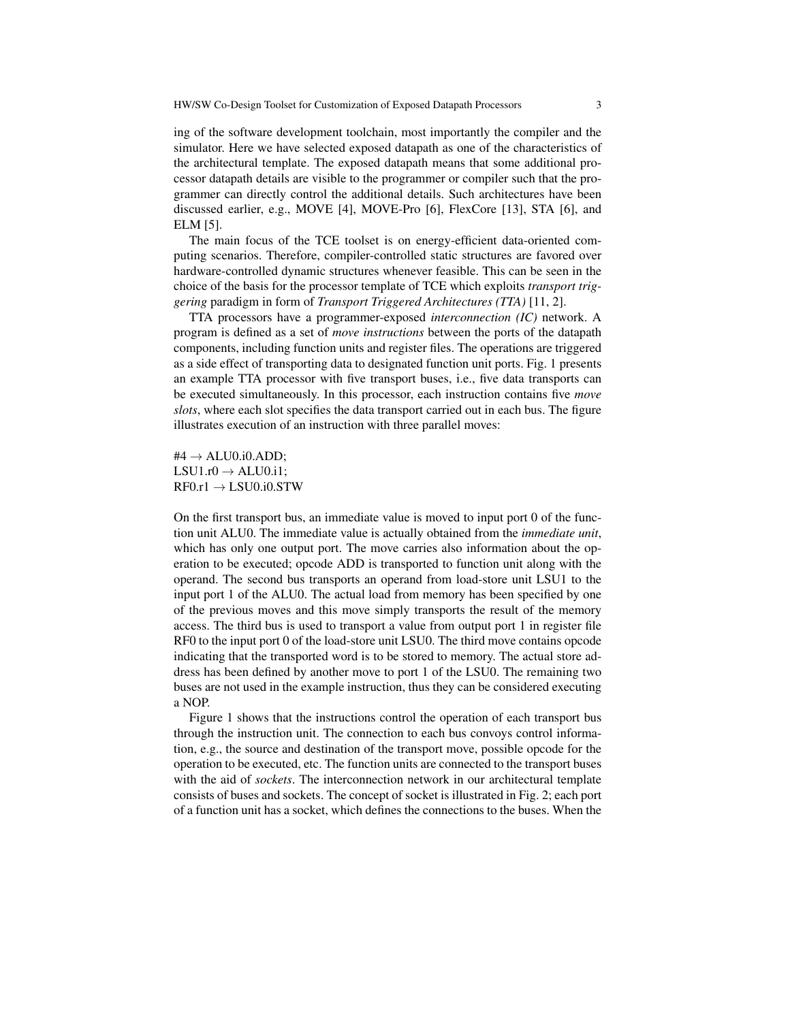ing of the software development toolchain, most importantly the compiler and the simulator. Here we have selected exposed datapath as one of the characteristics of the architectural template. The exposed datapath means that some additional processor datapath details are visible to the programmer or compiler such that the programmer can directly control the additional details. Such architectures have been discussed earlier, e.g., MOVE [4], MOVE-Pro [6], FlexCore [13], STA [6], and ELM [5].

The main focus of the TCE toolset is on energy-efficient data-oriented computing scenarios. Therefore, compiler-controlled static structures are favored over hardware-controlled dynamic structures whenever feasible. This can be seen in the choice of the basis for the processor template of TCE which exploits *transport triggering* paradigm in form of *Transport Triggered Architectures (TTA)* [11, 2].

TTA processors have a programmer-exposed *interconnection (IC)* network. A program is defined as a set of *move instructions* between the ports of the datapath components, including function units and register files. The operations are triggered as a side effect of transporting data to designated function unit ports. Fig. 1 presents an example TTA processor with five transport buses, i.e., five data transports can be executed simultaneously. In this processor, each instruction contains five *move slots*, where each slot specifies the data transport carried out in each bus. The figure illustrates execution of an instruction with three parallel moves:

 $\text{#4} \rightarrow \text{ALU0.i0.ADD}$ ;  $LSU1.r0 \rightarrow ALU0.i1;$  $RFO.r1 \rightarrow LSU0.i0.STW$ 

On the first transport bus, an immediate value is moved to input port 0 of the function unit ALU0. The immediate value is actually obtained from the *immediate unit*, which has only one output port. The move carries also information about the operation to be executed; opcode ADD is transported to function unit along with the operand. The second bus transports an operand from load-store unit LSU1 to the input port 1 of the ALU0. The actual load from memory has been specified by one of the previous moves and this move simply transports the result of the memory access. The third bus is used to transport a value from output port 1 in register file RF0 to the input port 0 of the load-store unit LSU0. The third move contains opcode indicating that the transported word is to be stored to memory. The actual store address has been defined by another move to port 1 of the LSU0. The remaining two buses are not used in the example instruction, thus they can be considered executing a NOP.

Figure 1 shows that the instructions control the operation of each transport bus through the instruction unit. The connection to each bus convoys control information, e.g., the source and destination of the transport move, possible opcode for the operation to be executed, etc. The function units are connected to the transport buses with the aid of *sockets*. The interconnection network in our architectural template consists of buses and sockets. The concept of socket is illustrated in Fig. 2; each port of a function unit has a socket, which defines the connections to the buses. When the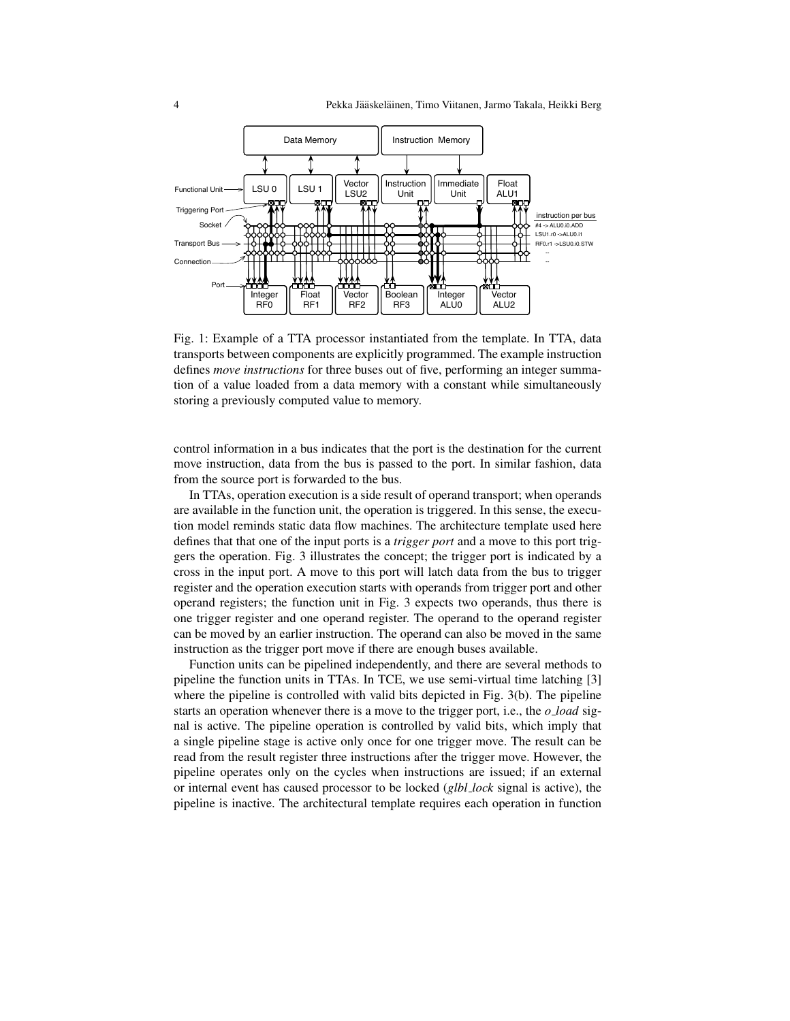

Fig. 1: Example of a TTA processor instantiated from the template. In TTA, data transports between components are explicitly programmed. The example instruction defines *move instructions* for three buses out of five, performing an integer summation of a value loaded from a data memory with a constant while simultaneously storing a previously computed value to memory.

control information in a bus indicates that the port is the destination for the current move instruction, data from the bus is passed to the port. In similar fashion, data from the source port is forwarded to the bus.

In TTAs, operation execution is a side result of operand transport; when operands are available in the function unit, the operation is triggered. In this sense, the execution model reminds static data flow machines. The architecture template used here defines that that one of the input ports is a *trigger port* and a move to this port triggers the operation. Fig. 3 illustrates the concept; the trigger port is indicated by a cross in the input port. A move to this port will latch data from the bus to trigger register and the operation execution starts with operands from trigger port and other operand registers; the function unit in Fig. 3 expects two operands, thus there is one trigger register and one operand register. The operand to the operand register can be moved by an earlier instruction. The operand can also be moved in the same instruction as the trigger port move if there are enough buses available.

Function units can be pipelined independently, and there are several methods to pipeline the function units in TTAs. In TCE, we use semi-virtual time latching [3] where the pipeline is controlled with valid bits depicted in Fig. 3(b). The pipeline starts an operation whenever there is a move to the trigger port, i.e., the *o load* signal is active. The pipeline operation is controlled by valid bits, which imply that a single pipeline stage is active only once for one trigger move. The result can be read from the result register three instructions after the trigger move. However, the pipeline operates only on the cycles when instructions are issued; if an external or internal event has caused processor to be locked (*glbl lock* signal is active), the pipeline is inactive. The architectural template requires each operation in function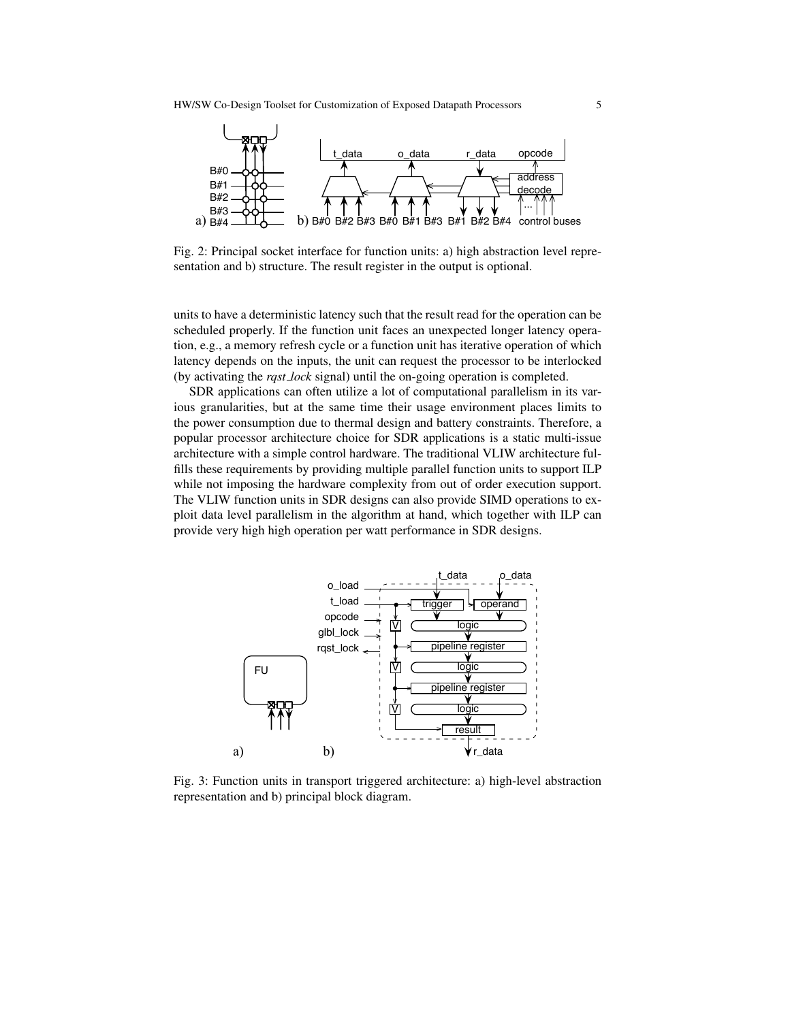HW/SW Co-Design Toolset for Customization of Exposed Datapath Processors 5



Fig. 2: Principal socket interface for function units: a) high abstraction level representation and b) structure. The result register in the output is optional.

units to have a deterministic latency such that the result read for the operation can be scheduled properly. If the function unit faces an unexpected longer latency operation, e.g., a memory refresh cycle or a function unit has iterative operation of which latency depends on the inputs, the unit can request the processor to be interlocked (by activating the *rqst lock* signal) until the on-going operation is completed.

SDR applications can often utilize a lot of computational parallelism in its various granularities, but at the same time their usage environment places limits to the power consumption due to thermal design and battery constraints. Therefore, a popular processor architecture choice for SDR applications is a static multi-issue architecture with a simple control hardware. The traditional VLIW architecture fulfills these requirements by providing multiple parallel function units to support ILP while not imposing the hardware complexity from out of order execution support. The VLIW function units in SDR designs can also provide SIMD operations to exploit data level parallelism in the algorithm at hand, which together with ILP can provide very high high operation per watt performance in SDR designs.



Fig. 3: Function units in transport triggered architecture: a) high-level abstraction representation and b) principal block diagram.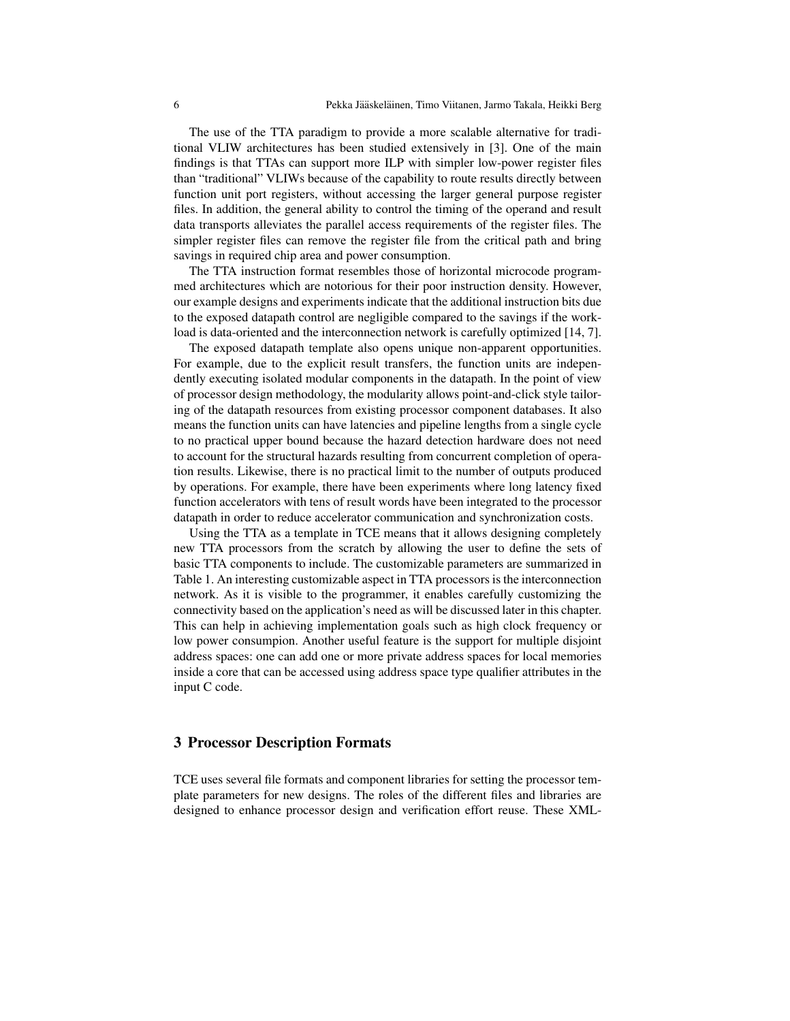The use of the TTA paradigm to provide a more scalable alternative for traditional VLIW architectures has been studied extensively in [3]. One of the main findings is that TTAs can support more ILP with simpler low-power register files than "traditional" VLIWs because of the capability to route results directly between function unit port registers, without accessing the larger general purpose register files. In addition, the general ability to control the timing of the operand and result data transports alleviates the parallel access requirements of the register files. The simpler register files can remove the register file from the critical path and bring savings in required chip area and power consumption.

The TTA instruction format resembles those of horizontal microcode programmed architectures which are notorious for their poor instruction density. However, our example designs and experiments indicate that the additional instruction bits due to the exposed datapath control are negligible compared to the savings if the workload is data-oriented and the interconnection network is carefully optimized [14, 7].

The exposed datapath template also opens unique non-apparent opportunities. For example, due to the explicit result transfers, the function units are independently executing isolated modular components in the datapath. In the point of view of processor design methodology, the modularity allows point-and-click style tailoring of the datapath resources from existing processor component databases. It also means the function units can have latencies and pipeline lengths from a single cycle to no practical upper bound because the hazard detection hardware does not need to account for the structural hazards resulting from concurrent completion of operation results. Likewise, there is no practical limit to the number of outputs produced by operations. For example, there have been experiments where long latency fixed function accelerators with tens of result words have been integrated to the processor datapath in order to reduce accelerator communication and synchronization costs.

Using the TTA as a template in TCE means that it allows designing completely new TTA processors from the scratch by allowing the user to define the sets of basic TTA components to include. The customizable parameters are summarized in Table 1. An interesting customizable aspect in TTA processors is the interconnection network. As it is visible to the programmer, it enables carefully customizing the connectivity based on the application's need as will be discussed later in this chapter. This can help in achieving implementation goals such as high clock frequency or low power consumpion. Another useful feature is the support for multiple disjoint address spaces: one can add one or more private address spaces for local memories inside a core that can be accessed using address space type qualifier attributes in the input C code.

### 3 Processor Description Formats

TCE uses several file formats and component libraries for setting the processor template parameters for new designs. The roles of the different files and libraries are designed to enhance processor design and verification effort reuse. These XML-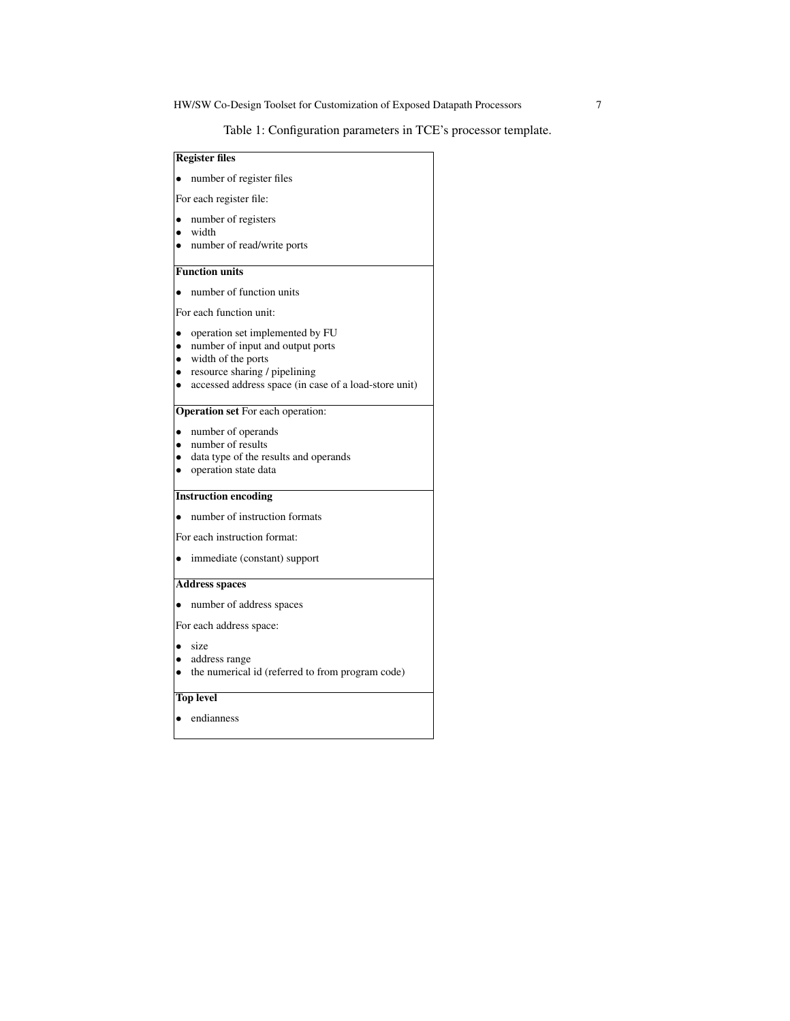Table 1: Configuration parameters in TCE's processor template.

| <b>Register files</b>                    |                                                                                                                                                                                     |  |
|------------------------------------------|-------------------------------------------------------------------------------------------------------------------------------------------------------------------------------------|--|
|                                          | number of register files                                                                                                                                                            |  |
|                                          | For each register file:                                                                                                                                                             |  |
| $\bullet$<br>$\bullet$<br>$\bullet$      | number of registers<br>width<br>number of read/write ports                                                                                                                          |  |
| <b>Function units</b>                    |                                                                                                                                                                                     |  |
|                                          | number of function units                                                                                                                                                            |  |
| For each function unit:                  |                                                                                                                                                                                     |  |
| ٠<br>٠<br>٠<br>$\bullet$                 | operation set implemented by FU<br>number of input and output ports<br>width of the ports<br>resource sharing / pipelining<br>accessed address space (in case of a load-store unit) |  |
| <b>Operation set</b> For each operation: |                                                                                                                                                                                     |  |
| ٠<br>$\bullet$<br>$\bullet$<br>$\bullet$ | number of operands<br>number of results<br>data type of the results and operands<br>operation state data                                                                            |  |
| <b>Instruction encoding</b>              |                                                                                                                                                                                     |  |
|                                          | number of instruction formats                                                                                                                                                       |  |
|                                          | For each instruction format:                                                                                                                                                        |  |
|                                          | immediate (constant) support                                                                                                                                                        |  |
|                                          | <b>Address spaces</b>                                                                                                                                                               |  |
|                                          | number of address spaces                                                                                                                                                            |  |
|                                          | For each address space:                                                                                                                                                             |  |
| $\bullet$<br>$\bullet$<br>$\bullet$      | size<br>address range<br>the numerical id (referred to from program code)                                                                                                           |  |
| <b>Top level</b>                         |                                                                                                                                                                                     |  |
|                                          | • endianness                                                                                                                                                                        |  |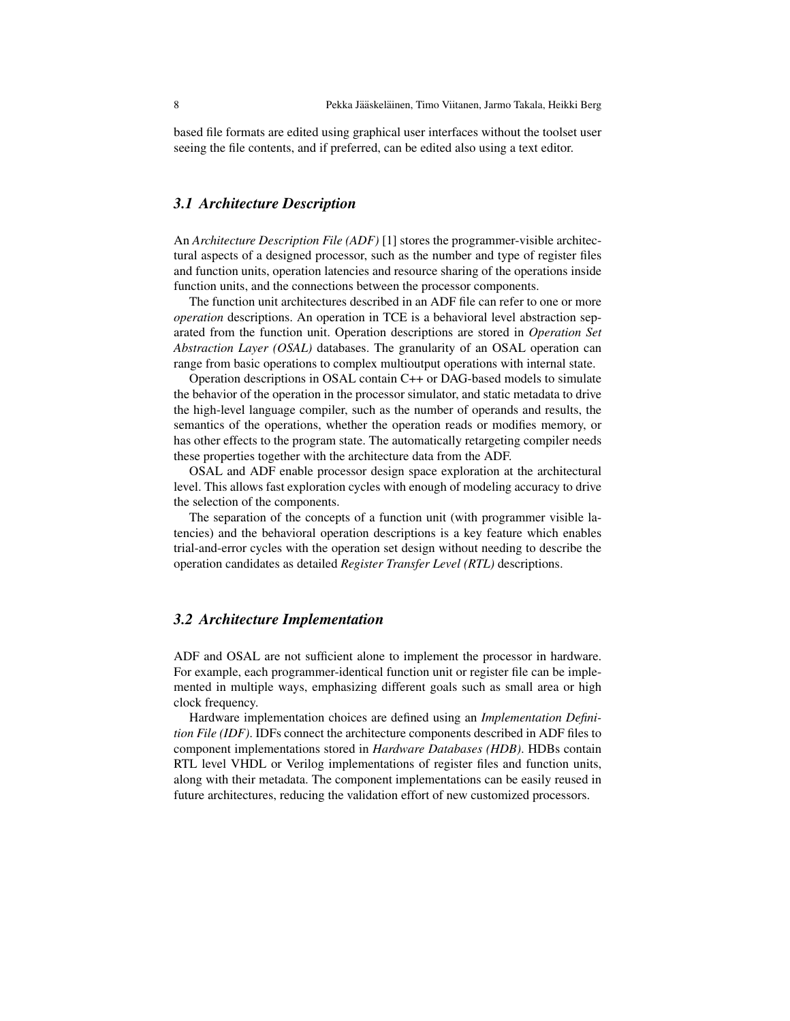based file formats are edited using graphical user interfaces without the toolset user seeing the file contents, and if preferred, can be edited also using a text editor.

## *3.1 Architecture Description*

An *Architecture Description File (ADF)* [1] stores the programmer-visible architectural aspects of a designed processor, such as the number and type of register files and function units, operation latencies and resource sharing of the operations inside function units, and the connections between the processor components.

The function unit architectures described in an ADF file can refer to one or more *operation* descriptions. An operation in TCE is a behavioral level abstraction separated from the function unit. Operation descriptions are stored in *Operation Set Abstraction Layer (OSAL)* databases. The granularity of an OSAL operation can range from basic operations to complex multioutput operations with internal state.

Operation descriptions in OSAL contain C++ or DAG-based models to simulate the behavior of the operation in the processor simulator, and static metadata to drive the high-level language compiler, such as the number of operands and results, the semantics of the operations, whether the operation reads or modifies memory, or has other effects to the program state. The automatically retargeting compiler needs these properties together with the architecture data from the ADF.

OSAL and ADF enable processor design space exploration at the architectural level. This allows fast exploration cycles with enough of modeling accuracy to drive the selection of the components.

The separation of the concepts of a function unit (with programmer visible latencies) and the behavioral operation descriptions is a key feature which enables trial-and-error cycles with the operation set design without needing to describe the operation candidates as detailed *Register Transfer Level (RTL)* descriptions.

### *3.2 Architecture Implementation*

ADF and OSAL are not sufficient alone to implement the processor in hardware. For example, each programmer-identical function unit or register file can be implemented in multiple ways, emphasizing different goals such as small area or high clock frequency.

Hardware implementation choices are defined using an *Implementation Definition File (IDF)*. IDFs connect the architecture components described in ADF files to component implementations stored in *Hardware Databases (HDB)*. HDBs contain RTL level VHDL or Verilog implementations of register files and function units, along with their metadata. The component implementations can be easily reused in future architectures, reducing the validation effort of new customized processors.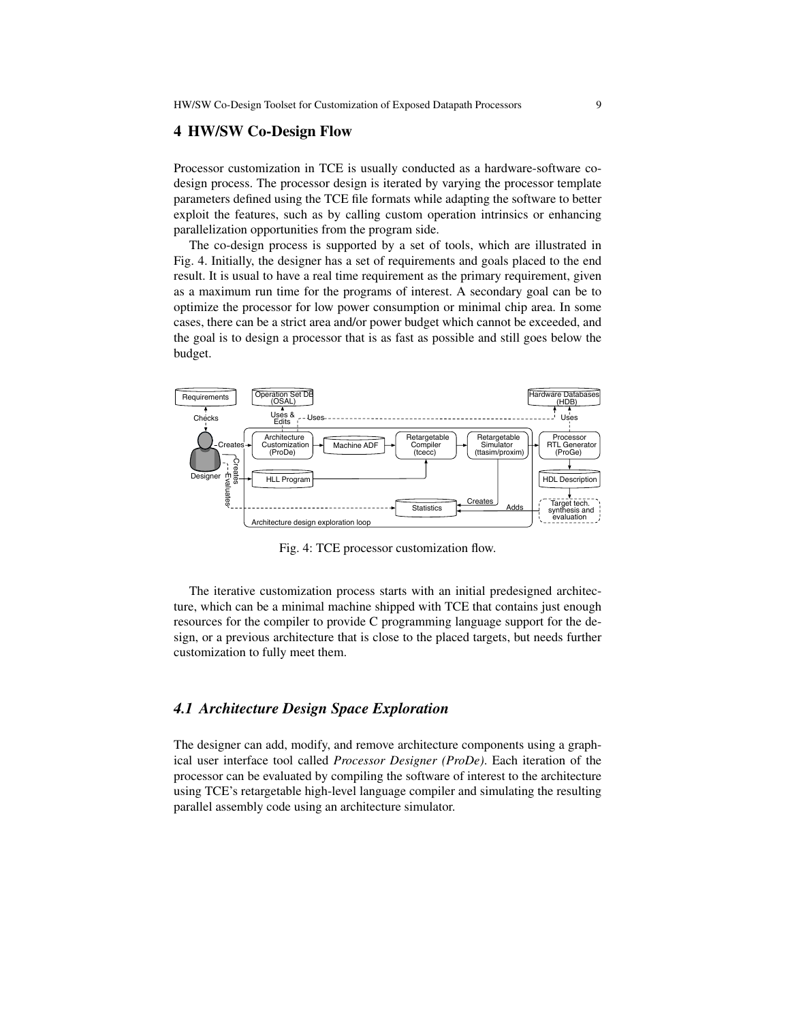### 4 HW/SW Co-Design Flow

Processor customization in TCE is usually conducted as a hardware-software codesign process. The processor design is iterated by varying the processor template parameters defined using the TCE file formats while adapting the software to better exploit the features, such as by calling custom operation intrinsics or enhancing parallelization opportunities from the program side.

The co-design process is supported by a set of tools, which are illustrated in Fig. 4. Initially, the designer has a set of requirements and goals placed to the end result. It is usual to have a real time requirement as the primary requirement, given as a maximum run time for the programs of interest. A secondary goal can be to optimize the processor for low power consumption or minimal chip area. In some cases, there can be a strict area and/or power budget which cannot be exceeded, and the goal is to design a processor that is as fast as possible and still goes below the budget.



Fig. 4: TCE processor customization flow.

The iterative customization process starts with an initial predesigned architecture, which can be a minimal machine shipped with TCE that contains just enough resources for the compiler to provide C programming language support for the design, or a previous architecture that is close to the placed targets, but needs further customization to fully meet them.

# *4.1 Architecture Design Space Exploration*

The designer can add, modify, and remove architecture components using a graphical user interface tool called *Processor Designer (ProDe)*. Each iteration of the processor can be evaluated by compiling the software of interest to the architecture using TCE's retargetable high-level language compiler and simulating the resulting parallel assembly code using an architecture simulator.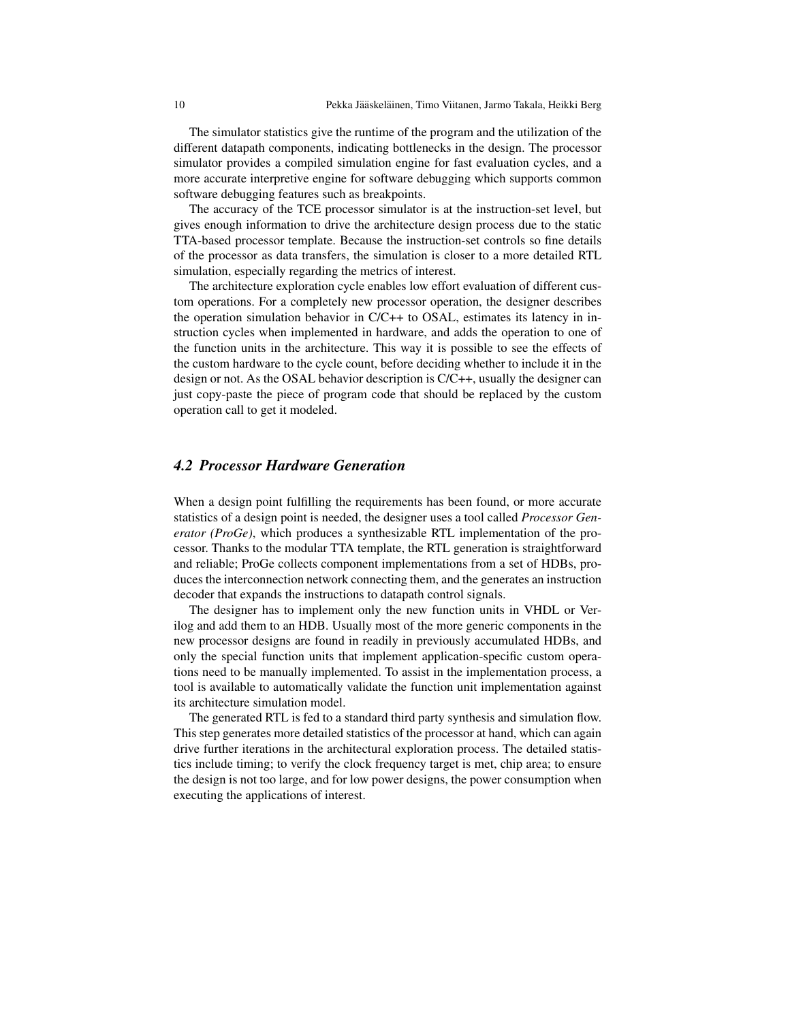The simulator statistics give the runtime of the program and the utilization of the different datapath components, indicating bottlenecks in the design. The processor simulator provides a compiled simulation engine for fast evaluation cycles, and a more accurate interpretive engine for software debugging which supports common software debugging features such as breakpoints.

The accuracy of the TCE processor simulator is at the instruction-set level, but gives enough information to drive the architecture design process due to the static TTA-based processor template. Because the instruction-set controls so fine details of the processor as data transfers, the simulation is closer to a more detailed RTL simulation, especially regarding the metrics of interest.

The architecture exploration cycle enables low effort evaluation of different custom operations. For a completely new processor operation, the designer describes the operation simulation behavior in C/C++ to OSAL, estimates its latency in instruction cycles when implemented in hardware, and adds the operation to one of the function units in the architecture. This way it is possible to see the effects of the custom hardware to the cycle count, before deciding whether to include it in the design or not. As the OSAL behavior description is C/C++, usually the designer can just copy-paste the piece of program code that should be replaced by the custom operation call to get it modeled.

### *4.2 Processor Hardware Generation*

When a design point fulfilling the requirements has been found, or more accurate statistics of a design point is needed, the designer uses a tool called *Processor Generator (ProGe)*, which produces a synthesizable RTL implementation of the processor. Thanks to the modular TTA template, the RTL generation is straightforward and reliable; ProGe collects component implementations from a set of HDBs, produces the interconnection network connecting them, and the generates an instruction decoder that expands the instructions to datapath control signals.

The designer has to implement only the new function units in VHDL or Verilog and add them to an HDB. Usually most of the more generic components in the new processor designs are found in readily in previously accumulated HDBs, and only the special function units that implement application-specific custom operations need to be manually implemented. To assist in the implementation process, a tool is available to automatically validate the function unit implementation against its architecture simulation model.

The generated RTL is fed to a standard third party synthesis and simulation flow. This step generates more detailed statistics of the processor at hand, which can again drive further iterations in the architectural exploration process. The detailed statistics include timing; to verify the clock frequency target is met, chip area; to ensure the design is not too large, and for low power designs, the power consumption when executing the applications of interest.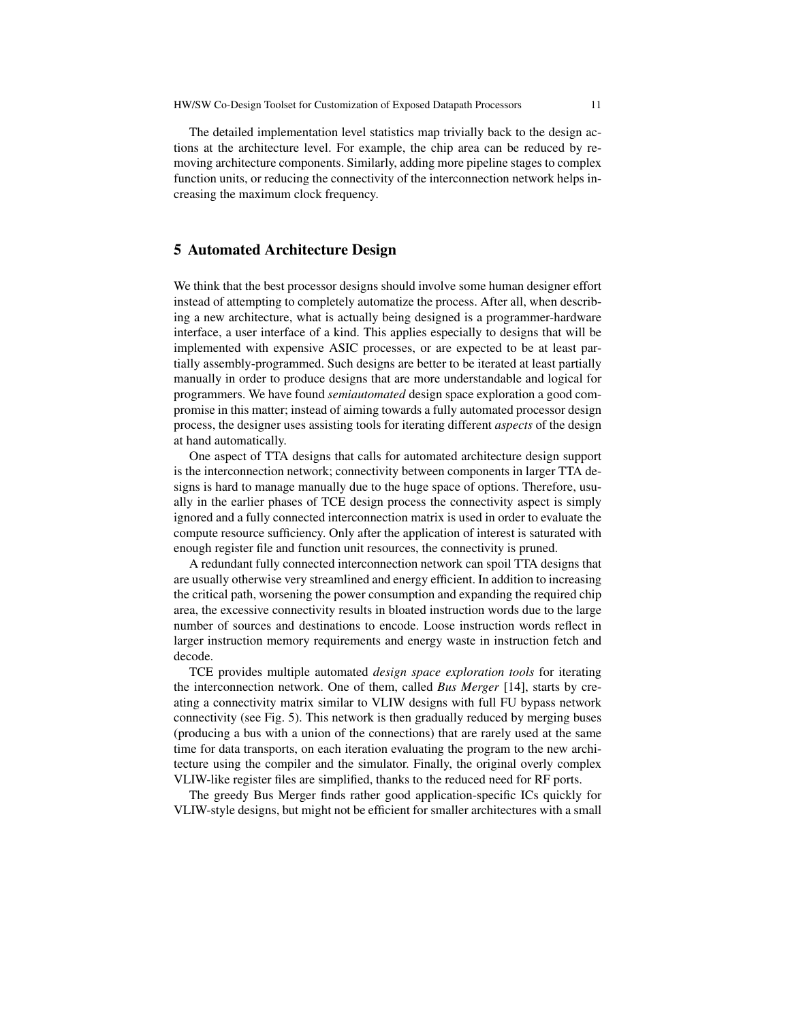The detailed implementation level statistics map trivially back to the design actions at the architecture level. For example, the chip area can be reduced by removing architecture components. Similarly, adding more pipeline stages to complex function units, or reducing the connectivity of the interconnection network helps increasing the maximum clock frequency.

### 5 Automated Architecture Design

We think that the best processor designs should involve some human designer effort instead of attempting to completely automatize the process. After all, when describing a new architecture, what is actually being designed is a programmer-hardware interface, a user interface of a kind. This applies especially to designs that will be implemented with expensive ASIC processes, or are expected to be at least partially assembly-programmed. Such designs are better to be iterated at least partially manually in order to produce designs that are more understandable and logical for programmers. We have found *semiautomated* design space exploration a good compromise in this matter; instead of aiming towards a fully automated processor design process, the designer uses assisting tools for iterating different *aspects* of the design at hand automatically.

One aspect of TTA designs that calls for automated architecture design support is the interconnection network; connectivity between components in larger TTA designs is hard to manage manually due to the huge space of options. Therefore, usually in the earlier phases of TCE design process the connectivity aspect is simply ignored and a fully connected interconnection matrix is used in order to evaluate the compute resource sufficiency. Only after the application of interest is saturated with enough register file and function unit resources, the connectivity is pruned.

A redundant fully connected interconnection network can spoil TTA designs that are usually otherwise very streamlined and energy efficient. In addition to increasing the critical path, worsening the power consumption and expanding the required chip area, the excessive connectivity results in bloated instruction words due to the large number of sources and destinations to encode. Loose instruction words reflect in larger instruction memory requirements and energy waste in instruction fetch and decode.

TCE provides multiple automated *design space exploration tools* for iterating the interconnection network. One of them, called *Bus Merger* [14], starts by creating a connectivity matrix similar to VLIW designs with full FU bypass network connectivity (see Fig. 5). This network is then gradually reduced by merging buses (producing a bus with a union of the connections) that are rarely used at the same time for data transports, on each iteration evaluating the program to the new architecture using the compiler and the simulator. Finally, the original overly complex VLIW-like register files are simplified, thanks to the reduced need for RF ports.

The greedy Bus Merger finds rather good application-specific ICs quickly for VLIW-style designs, but might not be efficient for smaller architectures with a small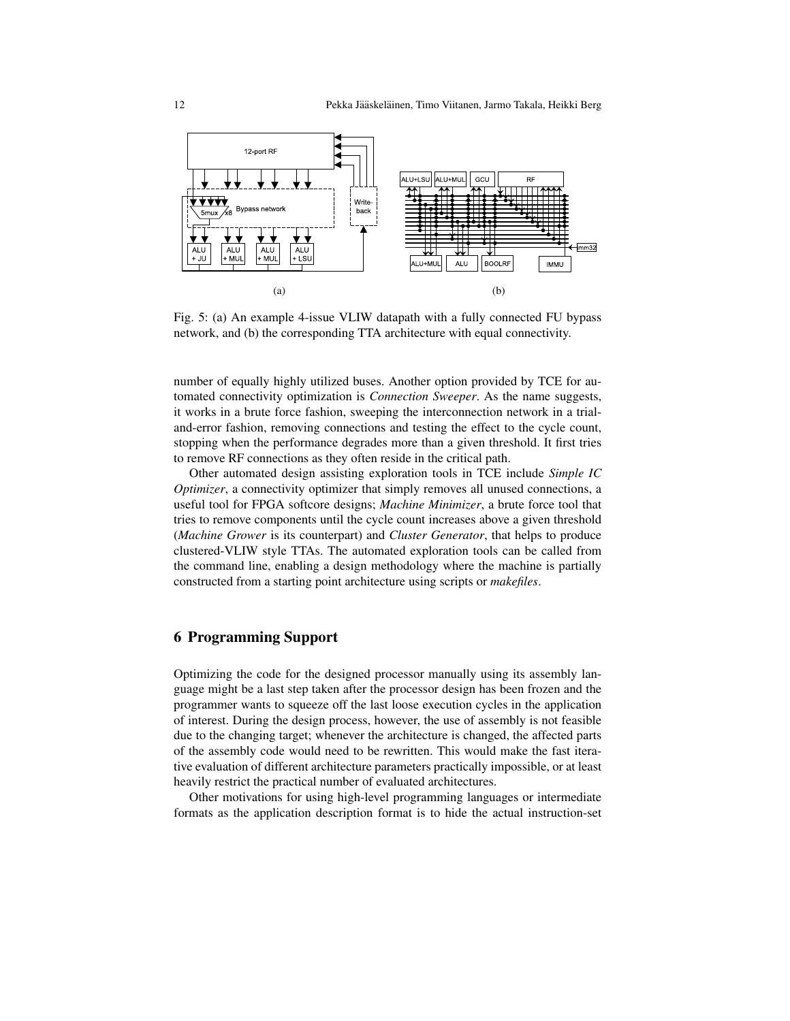

Fig. 5: (a) An example 4-issue VLIW datapath with a fully connected FU bypass network, and (b) the corresponding TTA architecture with equal connectivity.

number of equally highly utilized buses. Another option provided by TCE for automated connectivity optimization is *Connection Sweeper*. As the name suggests, it works in a brute force fashion, sweeping the interconnection network in a trialand-error fashion, removing connections and testing the effect to the cycle count, stopping when the performance degrades more than a given threshold. It first tries to remove RF connections as they often reside in the critical path.

Other automated design assisting exploration tools in TCE include *Simple IC Optimizer*, a connectivity optimizer that simply removes all unused connections, a useful tool for FPGA softcore designs; *Machine Minimizer*, a brute force tool that tries to remove components until the cycle count increases above a given threshold (*Machine Grower* is its counterpart) and *Cluster Generator*, that helps to produce clustered-VLIW style TTAs. The automated exploration tools can be called from the command line, enabling a design methodology where the machine is partially constructed from a starting point architecture using scripts or *makefiles*.

# 6 Programming Support

Optimizing the code for the designed processor manually using its assembly language might be a last step taken after the processor design has been frozen and the programmer wants to squeeze off the last loose execution cycles in the application of interest. During the design process, however, the use of assembly is not feasible due to the changing target; whenever the architecture is changed, the affected parts of the assembly code would need to be rewritten. This would make the fast iterative evaluation of different architecture parameters practically impossible, or at least heavily restrict the practical number of evaluated architectures.

Other motivations for using high-level programming languages or intermediate formats as the application description format is to hide the actual instruction-set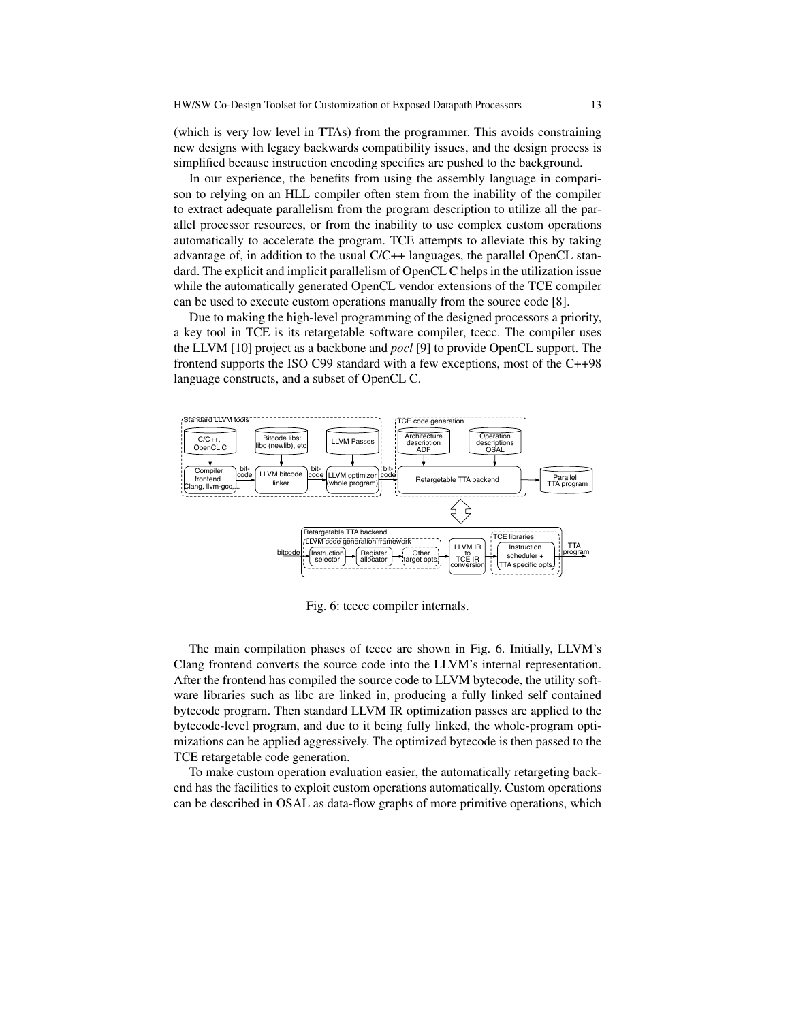(which is very low level in TTAs) from the programmer. This avoids constraining new designs with legacy backwards compatibility issues, and the design process is simplified because instruction encoding specifics are pushed to the background.

In our experience, the benefits from using the assembly language in comparison to relying on an HLL compiler often stem from the inability of the compiler to extract adequate parallelism from the program description to utilize all the parallel processor resources, or from the inability to use complex custom operations automatically to accelerate the program. TCE attempts to alleviate this by taking advantage of, in addition to the usual C/C++ languages, the parallel OpenCL standard. The explicit and implicit parallelism of OpenCL C helps in the utilization issue while the automatically generated OpenCL vendor extensions of the TCE compiler can be used to execute custom operations manually from the source code [8].

Due to making the high-level programming of the designed processors a priority, a key tool in TCE is its retargetable software compiler, tcecc. The compiler uses the LLVM [10] project as a backbone and *pocl* [9] to provide OpenCL support. The frontend supports the ISO C99 standard with a few exceptions, most of the C++98 language constructs, and a subset of OpenCL C.



Fig. 6: tcecc compiler internals.

The main compilation phases of tcecc are shown in Fig. 6. Initially, LLVM's Clang frontend converts the source code into the LLVM's internal representation. After the frontend has compiled the source code to LLVM bytecode, the utility software libraries such as libc are linked in, producing a fully linked self contained bytecode program. Then standard LLVM IR optimization passes are applied to the bytecode-level program, and due to it being fully linked, the whole-program optimizations can be applied aggressively. The optimized bytecode is then passed to the TCE retargetable code generation.

To make custom operation evaluation easier, the automatically retargeting backend has the facilities to exploit custom operations automatically. Custom operations can be described in OSAL as data-flow graphs of more primitive operations, which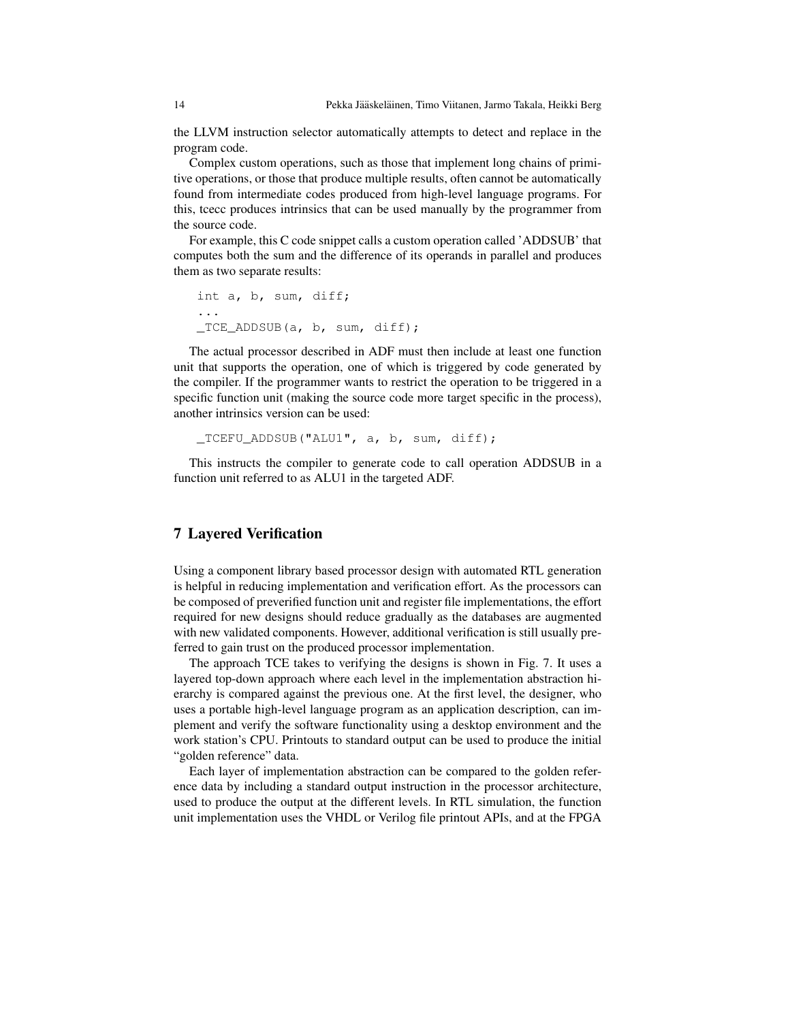the LLVM instruction selector automatically attempts to detect and replace in the program code.

Complex custom operations, such as those that implement long chains of primitive operations, or those that produce multiple results, often cannot be automatically found from intermediate codes produced from high-level language programs. For this, tcecc produces intrinsics that can be used manually by the programmer from the source code.

For example, this C code snippet calls a custom operation called 'ADDSUB' that computes both the sum and the difference of its operands in parallel and produces them as two separate results:

```
int a, b, sum, diff;
...
_TCE_ADDSUB(a, b, sum, diff);
```
The actual processor described in ADF must then include at least one function unit that supports the operation, one of which is triggered by code generated by the compiler. If the programmer wants to restrict the operation to be triggered in a specific function unit (making the source code more target specific in the process), another intrinsics version can be used:

```
_TCEFU_ADDSUB("ALU1", a, b, sum, diff);
```
This instructs the compiler to generate code to call operation ADDSUB in a function unit referred to as ALU1 in the targeted ADF.

### 7 Layered Verification

Using a component library based processor design with automated RTL generation is helpful in reducing implementation and verification effort. As the processors can be composed of preverified function unit and register file implementations, the effort required for new designs should reduce gradually as the databases are augmented with new validated components. However, additional verification is still usually preferred to gain trust on the produced processor implementation.

The approach TCE takes to verifying the designs is shown in Fig. 7. It uses a layered top-down approach where each level in the implementation abstraction hierarchy is compared against the previous one. At the first level, the designer, who uses a portable high-level language program as an application description, can implement and verify the software functionality using a desktop environment and the work station's CPU. Printouts to standard output can be used to produce the initial "golden reference" data.

Each layer of implementation abstraction can be compared to the golden reference data by including a standard output instruction in the processor architecture, used to produce the output at the different levels. In RTL simulation, the function unit implementation uses the VHDL or Verilog file printout APIs, and at the FPGA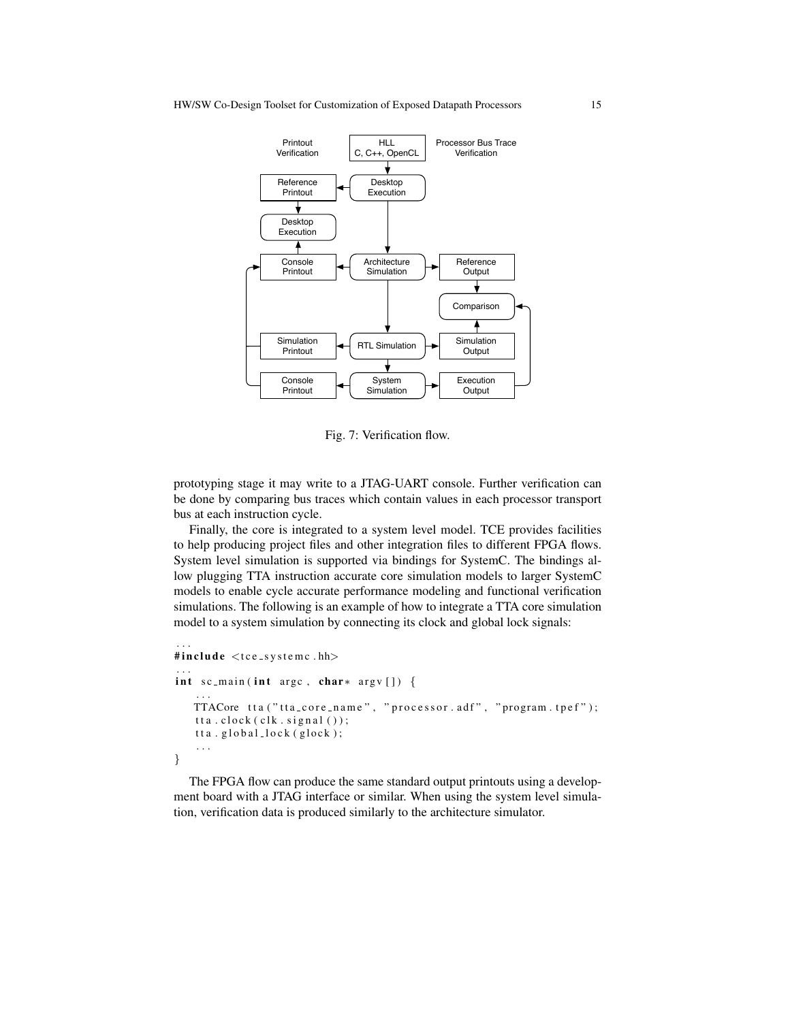

Fig. 7: Verification flow.

prototyping stage it may write to a JTAG-UART console. Further verification can be done by comparing bus traces which contain values in each processor transport bus at each instruction cycle.

Finally, the core is integrated to a system level model. TCE provides facilities to help producing project files and other integration files to different FPGA flows. System level simulation is supported via bindings for SystemC. The bindings allow plugging TTA instruction accurate core simulation models to larger SystemC models to enable cycle accurate performance modeling and functional verification simulations. The following is an example of how to integrate a TTA core simulation model to a system simulation by connecting its clock and global lock signals:

```
. . .
#include \langletce_systemc.hh>
. . .
int sc_main(int argc, char* argv[]) {
    . . .
   TTACore tta ("tta_core_name", "processor.adf", "program.tpef");
   tta.clock(clk.signal());
   tta.global_lock(glock);
    . . .
}
```
The FPGA flow can produce the same standard output printouts using a development board with a JTAG interface or similar. When using the system level simulation, verification data is produced similarly to the architecture simulator.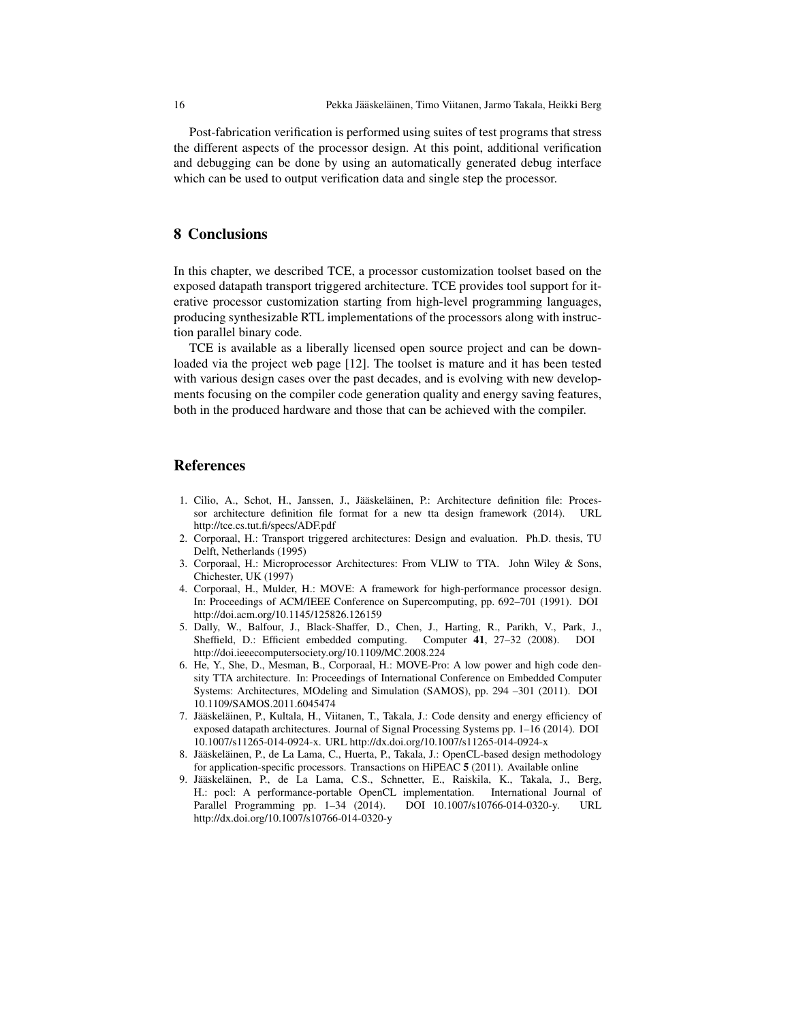Post-fabrication verification is performed using suites of test programs that stress the different aspects of the processor design. At this point, additional verification and debugging can be done by using an automatically generated debug interface which can be used to output verification data and single step the processor.

### 8 Conclusions

In this chapter, we described TCE, a processor customization toolset based on the exposed datapath transport triggered architecture. TCE provides tool support for iterative processor customization starting from high-level programming languages, producing synthesizable RTL implementations of the processors along with instruction parallel binary code.

TCE is available as a liberally licensed open source project and can be downloaded via the project web page [12]. The toolset is mature and it has been tested with various design cases over the past decades, and is evolving with new developments focusing on the compiler code generation quality and energy saving features, both in the produced hardware and those that can be achieved with the compiler.

### References

- 1. Cilio, A., Schot, H., Janssen, J., Jääskeläinen, P.: Architecture definition file: Processor architecture definition file format for a new tta design framework (2014). URL http://tce.cs.tut.fi/specs/ADF.pdf
- 2. Corporaal, H.: Transport triggered architectures: Design and evaluation. Ph.D. thesis, TU Delft, Netherlands (1995)
- 3. Corporaal, H.: Microprocessor Architectures: From VLIW to TTA. John Wiley & Sons, Chichester, UK (1997)
- 4. Corporaal, H., Mulder, H.: MOVE: A framework for high-performance processor design. In: Proceedings of ACM/IEEE Conference on Supercomputing, pp. 692–701 (1991). DOI http://doi.acm.org/10.1145/125826.126159
- 5. Dally, W., Balfour, J., Black-Shaffer, D., Chen, J., Harting, R., Parikh, V., Park, J., Sheffield, D.: Efficient embedded computing. Computer 41, 27–32 (2008). http://doi.ieeecomputersociety.org/10.1109/MC.2008.224
- 6. He, Y., She, D., Mesman, B., Corporaal, H.: MOVE-Pro: A low power and high code density TTA architecture. In: Proceedings of International Conference on Embedded Computer Systems: Architectures, MOdeling and Simulation (SAMOS), pp. 294 –301 (2011). DOI 10.1109/SAMOS.2011.6045474
- 7. Jääskeläinen, P., Kultala, H., Viitanen, T., Takala, J.: Code density and energy efficiency of exposed datapath architectures. Journal of Signal Processing Systems pp. 1–16 (2014). DOI 10.1007/s11265-014-0924-x. URL http://dx.doi.org/10.1007/s11265-014-0924-x
- 8. Jääskeläinen, P., de La Lama, C., Huerta, P., Takala, J.: OpenCL-based design methodology for application-specific processors. Transactions on HiPEAC 5 (2011). Available online
- 9. Jääskeläinen, P., de La Lama, C.S., Schnetter, E., Raiskila, K., Takala, J., Berg, H.: pocl: A performance-portable OpenCL implementation. International Journal of Parallel Programming pp. 1–34 (2014). DOI 10.1007/s10766-014-0320-y. URL http://dx.doi.org/10.1007/s10766-014-0320-y